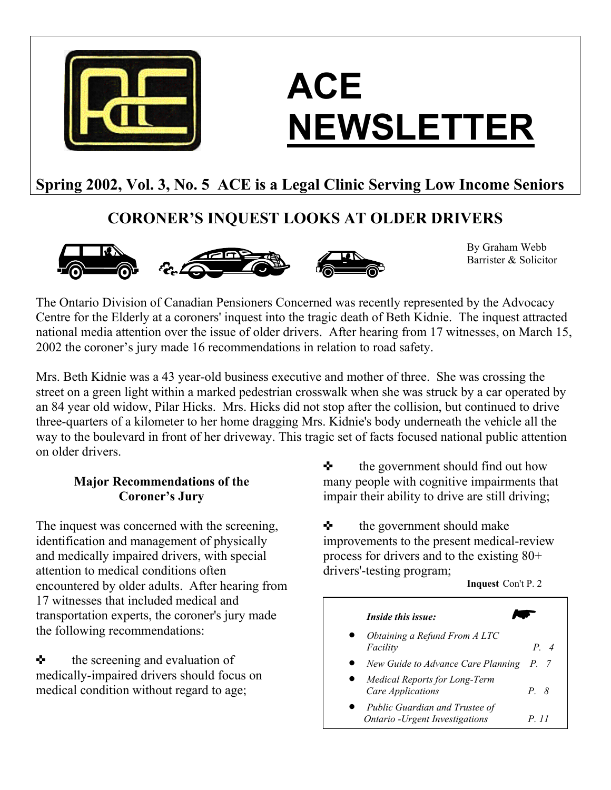

# **ACE NEWSLETTER**

# **Spring 2002, Vol. 3, No. 5 ACE is a Legal Clinic Serving Low Income Seniors**

## **CORONER'S INQUEST LOOKS AT OLDER DRIVERS**





By Graham Webb Barrister & Solicitor

The Ontario Division of Canadian Pensioners Concerned was recently represented by the Advocacy Centre for the Elderly at a coroners' inquest into the tragic death of Beth Kidnie. The inquest attracted national media attention over the issue of older drivers. After hearing from 17 witnesses, on March 15, 2002 the coroner's jury made 16 recommendations in relation to road safety.

Mrs. Beth Kidnie was a 43 year-old business executive and mother of three. She was crossing the street on a green light within a marked pedestrian crosswalk when she was struck by a car operated by an 84 year old widow, Pilar Hicks. Mrs. Hicks did not stop after the collision, but continued to drive three-quarters of a kilometer to her home dragging Mrs. Kidnie's body underneath the vehicle all the way to the boulevard in front of her driveway. This tragic set of facts focused national public attention on older drivers.

### **Major Recommendations of the Coroner's Jury**

The inquest was concerned with the screening,  $\bullet$  the government should make identification and management of physically and medically impaired drivers, with special attention to medical conditions often encountered by older adults. After hearing from 17 witnesses that included medical and transportation experts, the coroner's jury made the following recommendations:

 $\triangle$  the screening and evaluation of medically-impaired drivers should focus on medical condition without regard to age;

 $\triangle$  the government should find out how many people with cognitive impairments that impair their ability to drive are still driving;

improvements to the present medical-review process for drivers and to the existing 80+ drivers'-testing program; **Inquest** Con't P. 2

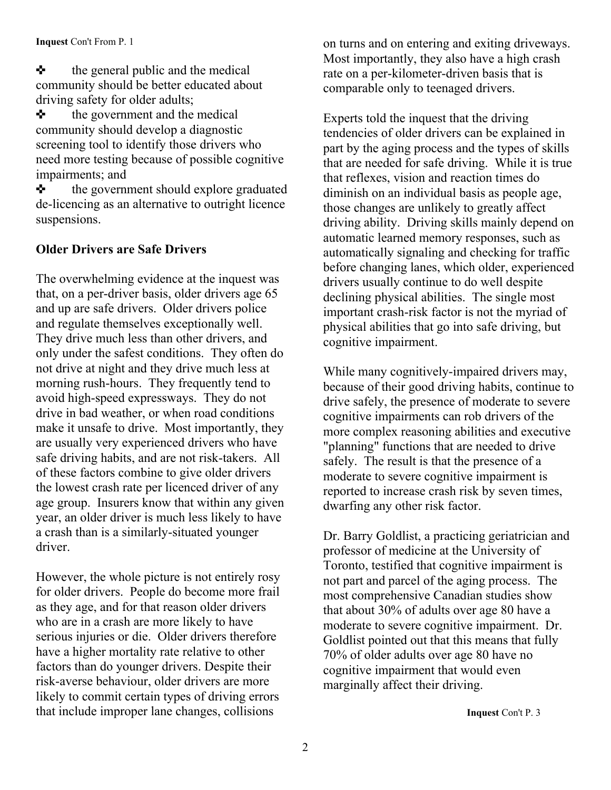$\triangle$  the general public and the medical community should be better educated about driving safety for older adults;

 $\triangle$  the government and the medical community should develop a diagnostic screening tool to identify those drivers who need more testing because of possible cognitive impairments; and

 $\triangle$  the government should explore graduated de-licencing as an alternative to outright licence suspensions.

### **Older Drivers are Safe Drivers**

The overwhelming evidence at the inquest was that, on a per-driver basis, older drivers age 65 and up are safe drivers. Older drivers police and regulate themselves exceptionally well. They drive much less than other drivers, and only under the safest conditions. They often do not drive at night and they drive much less at morning rush-hours. They frequently tend to avoid high-speed expressways. They do not drive in bad weather, or when road conditions make it unsafe to drive. Most importantly, they are usually very experienced drivers who have safe driving habits, and are not risk-takers. All of these factors combine to give older drivers the lowest crash rate per licenced driver of any age group. Insurers know that within any given year, an older driver is much less likely to have a crash than is a similarly-situated younger driver.

However, the whole picture is not entirely rosy for older drivers. People do become more frail as they age, and for that reason older drivers who are in a crash are more likely to have serious injuries or die. Older drivers therefore have a higher mortality rate relative to other factors than do younger drivers. Despite their risk-averse behaviour, older drivers are more likely to commit certain types of driving errors that include improper lane changes, collisions

on turns and on entering and exiting driveways. Most importantly, they also have a high crash rate on a per-kilometer-driven basis that is comparable only to teenaged drivers.

Experts told the inquest that the driving tendencies of older drivers can be explained in part by the aging process and the types of skills that are needed for safe driving. While it is true that reflexes, vision and reaction times do diminish on an individual basis as people age, those changes are unlikely to greatly affect driving ability. Driving skills mainly depend on automatic learned memory responses, such as automatically signaling and checking for traffic before changing lanes, which older, experienced drivers usually continue to do well despite declining physical abilities. The single most important crash-risk factor is not the myriad of physical abilities that go into safe driving, but cognitive impairment.

While many cognitively-impaired drivers may, because of their good driving habits, continue to drive safely, the presence of moderate to severe cognitive impairments can rob drivers of the more complex reasoning abilities and executive "planning" functions that are needed to drive safely. The result is that the presence of a moderate to severe cognitive impairment is reported to increase crash risk by seven times, dwarfing any other risk factor.

Dr. Barry Goldlist, a practicing geriatrician and professor of medicine at the University of Toronto, testified that cognitive impairment is not part and parcel of the aging process. The most comprehensive Canadian studies show that about 30% of adults over age 80 have a moderate to severe cognitive impairment. Dr. Goldlist pointed out that this means that fully 70% of older adults over age 80 have no cognitive impairment that would even marginally affect their driving.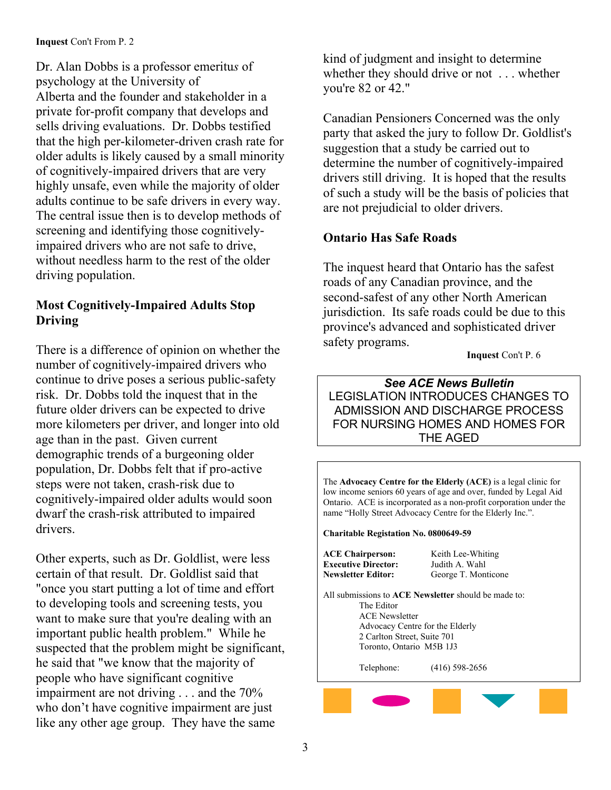Dr. Alan Dobbs is a professor emeritu*s* of psychology at the University of Alberta and the founder and stakeholder in a private for-profit company that develops and sells driving evaluations. Dr. Dobbs testified that the high per-kilometer-driven crash rate for older adults is likely caused by a small minority of cognitively-impaired drivers that are very highly unsafe, even while the majority of older adults continue to be safe drivers in every way. The central issue then is to develop methods of screening and identifying those cognitivelyimpaired drivers who are not safe to drive, without needless harm to the rest of the older driving population.

### **Most Cognitively-Impaired Adults Stop Driving**

There is a difference of opinion on whether the number of cognitively-impaired drivers who continue to drive poses a serious public-safety risk. Dr. Dobbs told the inquest that in the future older drivers can be expected to drive more kilometers per driver, and longer into old age than in the past. Given current demographic trends of a burgeoning older population, Dr. Dobbs felt that if pro-active steps were not taken, crash-risk due to cognitively-impaired older adults would soon dwarf the crash-risk attributed to impaired drivers.

**ACE Chairperson:** Keith Lee-Whiting **ACE Chairperson:** Keith Lee-Whiting **CE** Chairperson: Keith Lee-Whiting **CE** Chairperson: Judith A. Wahl certain of that result. Dr. Goldlist said that "once you start putting a lot of time and effort to developing tools and screening tests, you want to make sure that you're dealing with an important public health problem." While he suspected that the problem might be significant, he said that "we know that the majority of people who have significant cognitive impairment are not driving . . . and the 70% who don't have cognitive impairment are just like any other age group. They have the same

kind of judgment and insight to determine whether they should drive or not . . . whether you're 82 or 42."

Canadian Pensioners Concerned was the only party that asked the jury to follow Dr. Goldlist's suggestion that a study be carried out to determine the number of cognitively-impaired drivers still driving. It is hoped that the results of such a study will be the basis of policies that are not prejudicial to older drivers.

### **Ontario Has Safe Roads**

The inquest heard that Ontario has the safest roads of any Canadian province, and the second-safest of any other North American jurisdiction. Its safe roads could be due to this province's advanced and sophisticated driver safety programs.

 **Inquest** Con't P. 6

### *See ACE News Bulletin*  LEGISLATION INTRODUCES CHANGES TO ADMISSION AND DISCHARGE PROCESS FOR NURSING HOMES AND HOMES FOR THE AGED

The **Advocacy Centre for the Elderly (ACE)** is a legal clinic for low income seniors 60 years of age and over, funded by Legal Aid Ontario. ACE is incorporated as a non-profit corporation under the name "Holly Street Advocacy Centre for the Elderly Inc.".

**Charitable Registation No. 0800649-59** 

**Executive Director:** 

**Newsletter Editor:** George T. Monticone

All submissions to **ACE Newsletter** should be made to: The Editor ACE Newsletter Advocacy Centre for the Elderly 2 Carlton Street, Suite 701 Toronto, Ontario M5B 1J3

Telephone: (416) 598-2656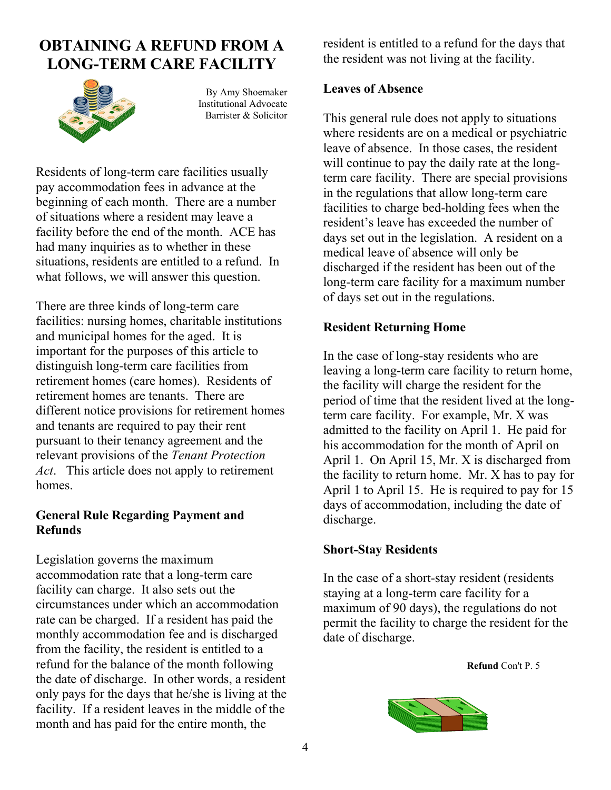### **OBTAINING A REFUND FROM A LONG-TERM CARE FACILITY**



By Amy Shoemaker Institutional Advocate Barrister & Solicitor

Residents of long-term care facilities usually pay accommodation fees in advance at the beginning of each month. There are a number of situations where a resident may leave a facility before the end of the month. ACE has had many inquiries as to whether in these situations, residents are entitled to a refund. In what follows, we will answer this question.

There are three kinds of long-term care facilities: nursing homes, charitable institutions and municipal homes for the aged. It is important for the purposes of this article to distinguish long-term care facilities from retirement homes (care homes). Residents of retirement homes are tenants. There are different notice provisions for retirement homes and tenants are required to pay their rent pursuant to their tenancy agreement and the relevant provisions of the *Tenant Protection Act*. This article does not apply to retirement homes.

### **General Rule Regarding Payment and Refunds**

Legislation governs the maximum accommodation rate that a long-term care facility can charge. It also sets out the circumstances under which an accommodation rate can be charged. If a resident has paid the monthly accommodation fee and is discharged from the facility, the resident is entitled to a refund for the balance of the month following the date of discharge. In other words, a resident only pays for the days that he/she is living at the facility. If a resident leaves in the middle of the month and has paid for the entire month, the

resident is entitled to a refund for the days that the resident was not living at the facility.

### **Leaves of Absence**

This general rule does not apply to situations where residents are on a medical or psychiatric leave of absence. In those cases, the resident will continue to pay the daily rate at the longterm care facility. There are special provisions in the regulations that allow long-term care facilities to charge bed-holding fees when the resident's leave has exceeded the number of days set out in the legislation. A resident on a medical leave of absence will only be discharged if the resident has been out of the long-term care facility for a maximum number of days set out in the regulations.

### **Resident Returning Home**

In the case of long-stay residents who are leaving a long-term care facility to return home, the facility will charge the resident for the period of time that the resident lived at the longterm care facility. For example, Mr. X was admitted to the facility on April 1. He paid for his accommodation for the month of April on April 1. On April 15, Mr. X is discharged from the facility to return home. Mr. X has to pay for April 1 to April 15. He is required to pay for 15 days of accommodation, including the date of discharge.

### **Short-Stay Residents**

In the case of a short-stay resident (residents staying at a long-term care facility for a maximum of 90 days), the regulations do not permit the facility to charge the resident for the date of discharge.

**Refund** Con't P. 5

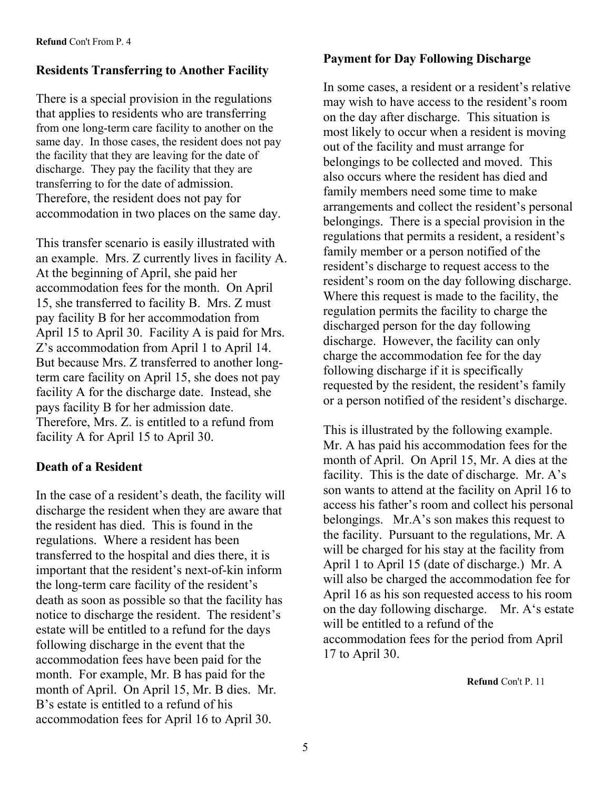# **Payment for Day Following Discharge Residents Transferring to Another Facility**

There is a special provision in the regulations that applies to residents who are transferring from one long-term care facility to another on the same day. In those cases, the resident does not pay the facility that they are leaving for the date of discharge. They pay the facility that they are transferring to for the date of admission. Therefore, the resident does not pay for accommodation in two places on the same day.

This transfer scenario is easily illustrated with an example. Mrs. Z currently lives in facility A. At the beginning of April, she paid her accommodation fees for the month. On April 15, she transferred to facility B. Mrs. Z must pay facility B for her accommodation from April 15 to April 30. Facility A is paid for Mrs. Z's accommodation from April 1 to April 14. But because Mrs. Z transferred to another longterm care facility on April 15, she does not pay facility A for the discharge date. Instead, she pays facility B for her admission date. Therefore, Mrs. Z. is entitled to a refund from facility A for April 15 to April 30.

### **Death of a Resident**

In the case of a resident's death, the facility will discharge the resident when they are aware that the resident has died. This is found in the regulations. Where a resident has been transferred to the hospital and dies there, it is important that the resident's next-of-kin inform the long-term care facility of the resident's death as soon as possible so that the facility has notice to discharge the resident. The resident's estate will be entitled to a refund for the days following discharge in the event that the accommodation fees have been paid for the month. For example, Mr. B has paid for the month of April. On April 15, Mr. B dies. Mr. B's estate is entitled to a refund of his accommodation fees for April 16 to April 30.

In some cases, a resident or a resident's relative may wish to have access to the resident's room on the day after discharge. This situation is most likely to occur when a resident is moving out of the facility and must arrange for belongings to be collected and moved. This also occurs where the resident has died and family members need some time to make arrangements and collect the resident's personal belongings. There is a special provision in the regulations that permits a resident, a resident's family member or a person notified of the resident's discharge to request access to the resident's room on the day following discharge. Where this request is made to the facility, the regulation permits the facility to charge the discharged person for the day following discharge. However, the facility can only charge the accommodation fee for the day following discharge if it is specifically requested by the resident, the resident's family or a person notified of the resident's discharge.

Mr. A has paid his accommodation fees for the month of April. On April 15, Mr. A dies at the facility. This is the date of discharge. Mr. A's son wants to attend at the facility on April 16 to access his father's room and collect his personal belongings. Mr.A's son makes this request to the facility. Pursuant to the regulations, Mr. A will be charged for his stay at the facility from April 1 to April 15 (date of discharge.) Mr. A will also be charged the accommodation fee for April 16 as his son requested access to his room on the day following discharge. Mr. A's estate will be entitled to a refund of the accommodation fees for the period from April 17 to April 30.

**Refund** Con't P. 11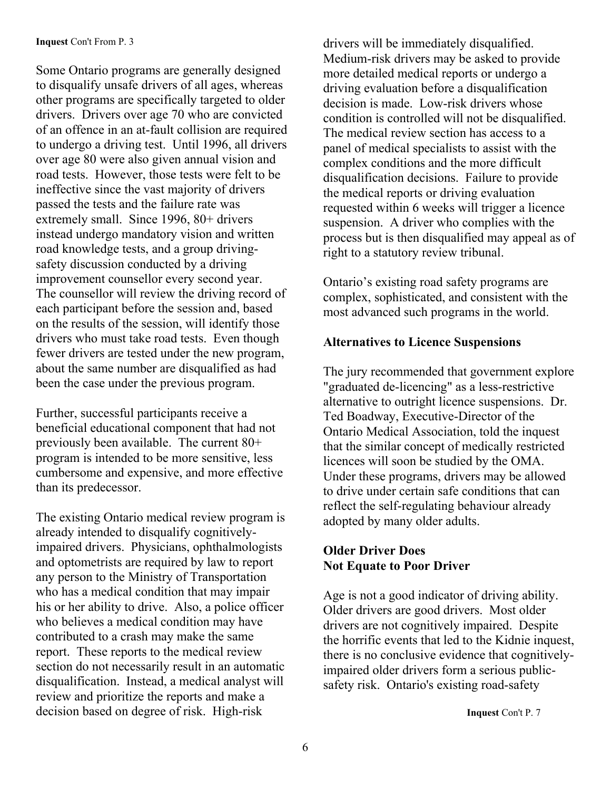### **Inquest** Con't From P. 3

Some Ontario programs are generally designed to disqualify unsafe drivers of all ages, whereas other programs are specifically targeted to older drivers. Drivers over age 70 who are convicted of an offence in an at-fault collision are required to undergo a driving test. Until 1996, all drivers over age 80 were also given annual vision and road tests. However, those tests were felt to be ineffective since the vast majority of drivers passed the tests and the failure rate was extremely small. Since 1996, 80+ drivers instead undergo mandatory vision and written road knowledge tests, and a group drivingsafety discussion conducted by a driving improvement counsellor every second year. The counsellor will review the driving record of each participant before the session and, based on the results of the session, will identify those drivers who must take road tests. Even though fewer drivers are tested under the new program, about the same number are disqualified as had been the case under the previous program.

Further, successful participants receive a beneficial educational component that had not previously been available. The current 80+ program is intended to be more sensitive, less cumbersome and expensive, and more effective than its predecessor.

The existing Ontario medical review program is already intended to disqualify cognitivelyimpaired drivers. Physicians, ophthalmologists and optometrists are required by law to report any person to the Ministry of Transportation who has a medical condition that may impair his or her ability to drive. Also, a police officer who believes a medical condition may have contributed to a crash may make the same report. These reports to the medical review section do not necessarily result in an automatic disqualification. Instead, a medical analyst will review and prioritize the reports and make a decision based on degree of risk. High-risk

drivers will be immediately disqualified. Medium-risk drivers may be asked to provide more detailed medical reports or undergo a driving evaluation before a disqualification decision is made. Low-risk drivers whose condition is controlled will not be disqualified. The medical review section has access to a panel of medical specialists to assist with the complex conditions and the more difficult disqualification decisions. Failure to provide the medical reports or driving evaluation requested within 6 weeks will trigger a licence suspension. A driver who complies with the process but is then disqualified may appeal as of right to a statutory review tribunal.

Ontario's existing road safety programs are complex, sophisticated, and consistent with the most advanced such programs in the world.

### **Alternatives to Licence Suspensions**

The jury recommended that government explore "graduated de-licencing" as a less-restrictive alternative to outright licence suspensions. Dr. Ted Boadway, Executive-Director of the Ontario Medical Association, told the inquest that the similar concept of medically restricted licences will soon be studied by the OMA. Under these programs, drivers may be allowed to drive under certain safe conditions that can reflect the self-regulating behaviour already adopted by many older adults.

### **Older Driver Does Not Equate to Poor Driver**

Age is not a good indicator of driving ability. Older drivers are good drivers. Most older drivers are not cognitively impaired. Despite the horrific events that led to the Kidnie inquest, there is no conclusive evidence that cognitivelyimpaired older drivers form a serious publicsafety risk. Ontario's existing road-safety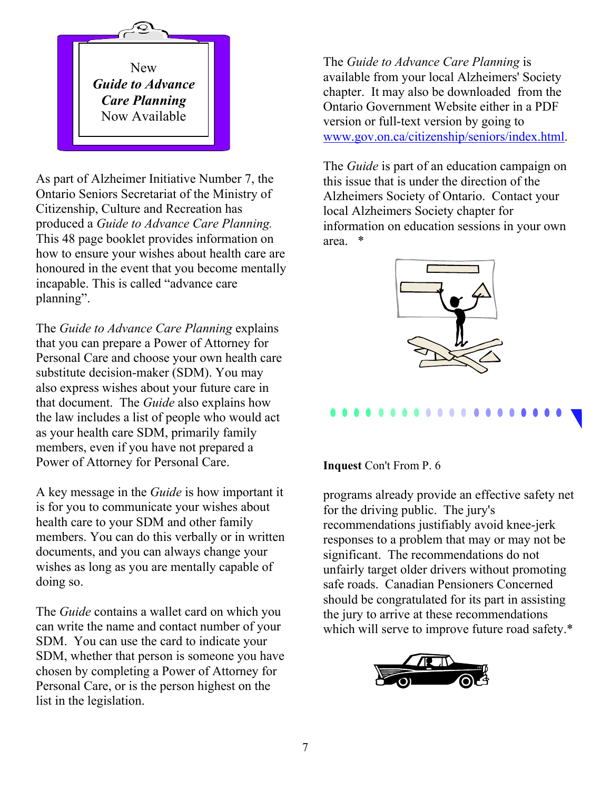

As part of Alzheimer Initiative Number 7, the Ontario Seniors Secretariat of the Ministry of Citizenship, Culture and Recreation has produced a *Guide to Advance Care Planning.*  This 48 page booklet provides information on how to ensure your wishes about health care are honoured in the event that you become mentally incapable. This is called "advance care planning".

The *Guide to Advance Care Planning* explains that you can prepare a Power of Attorney for Personal Care and choose your own health care substitute decision-maker (SDM). You may also express wishes about your future care in that document. The *Guide* also explains how the law includes a list of people who would act as your health care SDM, primarily family members, even if you have not prepared a Power of Attorney for Personal Care.<br> **Inquest Con't From P. 6** 

A key message in the *Guide* is how important it is for you to communicate your wishes about health care to your SDM and other family members. You can do this verbally or in written documents, and you can always change your wishes as long as you are mentally capable of doing so.

The *Guide* contains a wallet card on which you can write the name and contact number of your SDM. You can use the card to indicate your SDM, whether that person is someone you have chosen by completing a Power of Attorney for Personal Care, or is the person highest on the list in the legislation.

The *Guide to Advance Care Planning* is available from your local Alzheimers' Society chapter. It may also be downloaded from the Ontario Government Website either in a PDF version or full-text version by going to [www.gov.on.ca/citizenship/seniors/index.html.](http://www.gov.on.ca/citizenship/seniors/index.html)

The *Guide* is part of an education campaign on this issue that is under the direction of the Alzheimers Society of Ontario. Contact your local Alzheimers Society chapter for information on education sessions in your own area. \*



programs already provide an effective safety net for the driving public. The jury's recommendations justifiably avoid knee-jerk responses to a problem that may or may not be significant. The recommendations do not unfairly target older drivers without promoting safe roads. Canadian Pensioners Concerned should be congratulated for its part in assisting the jury to arrive at these recommendations which will serve to improve future road safety.\*

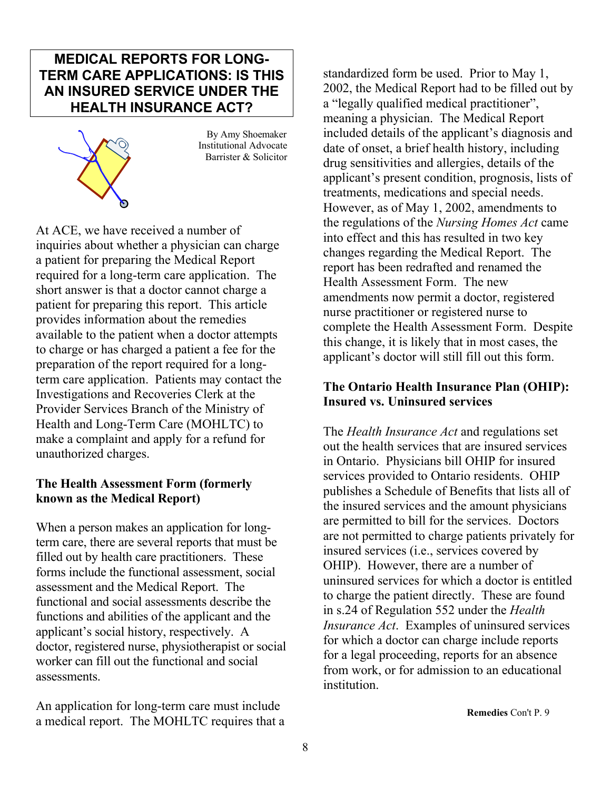### **MEDICAL REPORTS FOR LONG-TERM CARE APPLICATIONS: IS THIS AN INSURED SERVICE UNDER THE HEALTH INSURANCE ACT?**



 By Amy Shoemaker Institutional Advocate Barrister & Solicitor

At ACE, we have received a number of inquiries about whether a physician can charge a patient for preparing the Medical Report required for a long-term care application. The short answer is that a doctor cannot charge a patient for preparing this report. This article provides information about the remedies available to the patient when a doctor attempts to charge or has charged a patient a fee for the preparation of the report required for a longterm care application. Patients may contact the Investigations and Recoveries Clerk at the Provider Services Branch of the Ministry of Health and Long-Term Care (MOHLTC) to make a complaint and apply for a refund for unauthorized charges.

### **The Health Assessment Form (formerly known as the Medical Report)**

When a person makes an application for longterm care, there are several reports that must be filled out by health care practitioners. These forms include the functional assessment, social assessment and the Medical Report. The functional and social assessments describe the functions and abilities of the applicant and the applicant's social history, respectively. A doctor, registered nurse, physiotherapist or social worker can fill out the functional and social assessments.

An application for long-term care must include a medical report. The MOHLTC requires that a **Remedies** Con't P. 9

standardized form be used. Prior to May 1, 2002, the Medical Report had to be filled out by a "legally qualified medical practitioner", meaning a physician. The Medical Report included details of the applicant's diagnosis and date of onset, a brief health history, including drug sensitivities and allergies, details of the applicant's present condition, prognosis, lists of treatments, medications and special needs. However, as of May 1, 2002, amendments to the regulations of the *Nursing Homes Act* came into effect and this has resulted in two key changes regarding the Medical Report. The report has been redrafted and renamed the Health Assessment Form. The new amendments now permit a doctor, registered nurse practitioner or registered nurse to complete the Health Assessment Form. Despite this change, it is likely that in most cases, the applicant's doctor will still fill out this form.

### **The Ontario Health Insurance Plan (OHIP): Insured vs. Uninsured services**

The *Health Insurance Act* and regulations set out the health services that are insured services in Ontario. Physicians bill OHIP for insured services provided to Ontario residents. OHIP publishes a Schedule of Benefits that lists all of the insured services and the amount physicians are permitted to bill for the services. Doctors are not permitted to charge patients privately for insured services (i.e., services covered by OHIP). However, there are a number of uninsured services for which a doctor is entitled to charge the patient directly. These are found in s.24 of Regulation 552 under the *Health Insurance Act*. Examples of uninsured services for which a doctor can charge include reports for a legal proceeding, reports for an absence from work, or for admission to an educational institution.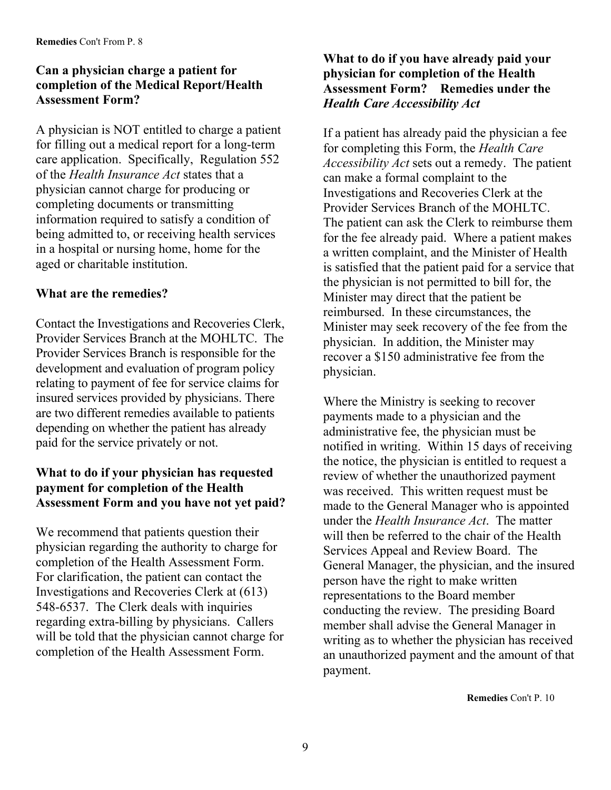### **Can a physician charge a patient for completion of the Medical Report/Health Assessment Form?**

A physician is NOT entitled to charge a patient for filling out a medical report for a long-term care application. Specifically, Regulation 552 of the *Health Insurance Act* states that a physician cannot charge for producing or completing documents or transmitting information required to satisfy a condition of being admitted to, or receiving health services in a hospital or nursing home, home for the aged or charitable institution.

### **What are the remedies?**

Contact the Investigations and Recoveries Clerk, Provider Services Branch at the MOHLTC. The Provider Services Branch is responsible for the development and evaluation of program policy relating to payment of fee for service claims for insured services provided by physicians. There are two different remedies available to patients depending on whether the patient has already paid for the service privately or not.

### **What to do if your physician has requested payment for completion of the Health Assessment Form and you have not yet paid?**

We recommend that patients question their physician regarding the authority to charge for completion of the Health Assessment Form. For clarification, the patient can contact the Investigations and Recoveries Clerk at (613) 548-6537. The Clerk deals with inquiries regarding extra-billing by physicians. Callers will be told that the physician cannot charge for completion of the Health Assessment Form.

### **What to do if you have already paid your physician for completion of the Health Assessment Form? Remedies under the**  *Health Care Accessibility Act*

If a patient has already paid the physician a fee for completing this Form, the *Health Care Accessibility Act* sets out a remedy. The patient can make a formal complaint to the Investigations and Recoveries Clerk at the Provider Services Branch of the MOHLTC. The patient can ask the Clerk to reimburse them for the fee already paid. Where a patient makes a written complaint, and the Minister of Health is satisfied that the patient paid for a service that the physician is not permitted to bill for, the Minister may direct that the patient be reimbursed. In these circumstances, the Minister may seek recovery of the fee from the physician. In addition, the Minister may recover a \$150 administrative fee from the physician.

Where the Ministry is seeking to recover payments made to a physician and the administrative fee, the physician must be notified in writing. Within 15 days of receiving the notice, the physician is entitled to request a review of whether the unauthorized payment was received. This written request must be made to the General Manager who is appointed under the *Health Insurance Act*. The matter will then be referred to the chair of the Health Services Appeal and Review Board. The General Manager, the physician, and the insured person have the right to make written representations to the Board member conducting the review. The presiding Board member shall advise the General Manager in writing as to whether the physician has received an unauthorized payment and the amount of that payment.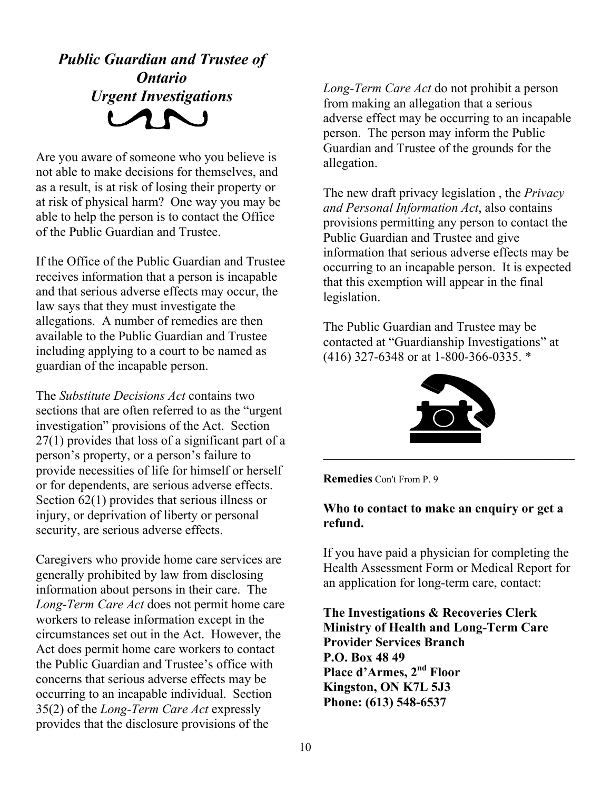# *Public Guardian and Trustee of Ontario*

Are you aware of someone who you believe is allegation. not able to make decisions for themselves, and as a result, is at risk of losing their property or at risk of physical harm? One way you may be able to help the person is to contact the Office of the Public Guardian and Trustee.

If the Office of the Public Guardian and Trustee receives information that a person is incapable and that serious adverse effects may occur, the law says that they must investigate the allegations. A number of remedies are then available to the Public Guardian and Trustee including applying to a court to be named as guardian of the incapable person.

The *Substitute Decisions Act* contains two sections that are often referred to as the "urgent investigation" provisions of the Act. Section 27(1) provides that loss of a significant part of a person's property, or a person's failure to provide necessities of life for himself or herself or for dependents, are serious adverse effects. Section 62(1) provides that serious illness or injury, or deprivation of liberty or personal security, are serious adverse effects.

Caregivers who provide home care services are generally prohibited by law from disclosing information about persons in their care. The *Long-Term Care Act* does not permit home care workers to release information except in the circumstances set out in the Act. However, the Act does permit home care workers to contact the Public Guardian and Trustee's office with concerns that serious adverse effects may be occurring to an incapable individual. Section 35(2) of the *Long-Term Care Act* expressly provides that the disclosure provisions of the

**Long-Term Care Act do not prohibit a person**<br>from making an allegation that a serious<br>adverse effect may be occurring to an incapab adverse effect may be occurring to an incapable person. The person may inform the Public Guardian and Trustee of the grounds for the

> The new draft privacy legislation , the *Privacy and Personal Information Act*, also contains provisions permitting any person to contact the Public Guardian and Trustee and give information that serious adverse effects may be occurring to an incapable person. It is expected that this exemption will appear in the final legislation.

The Public Guardian and Trustee may be contacted at "Guardianship Investigations" at (416) 327-6348 or at 1-800-366-0335. \*



**Remedies** Con't From P. 9

### **Who to contact to make an enquiry or get a refund.**

If you have paid a physician for completing the Health Assessment Form or Medical Report for an application for long-term care, contact:

**The Investigations & Recoveries Clerk Ministry of Health and Long-Term Care Provider Services Branch P.O. Box 48 49 Place d'Armes, 2nd Floor Kingston, ON K7L 5J3 Phone: (613) 548-6537**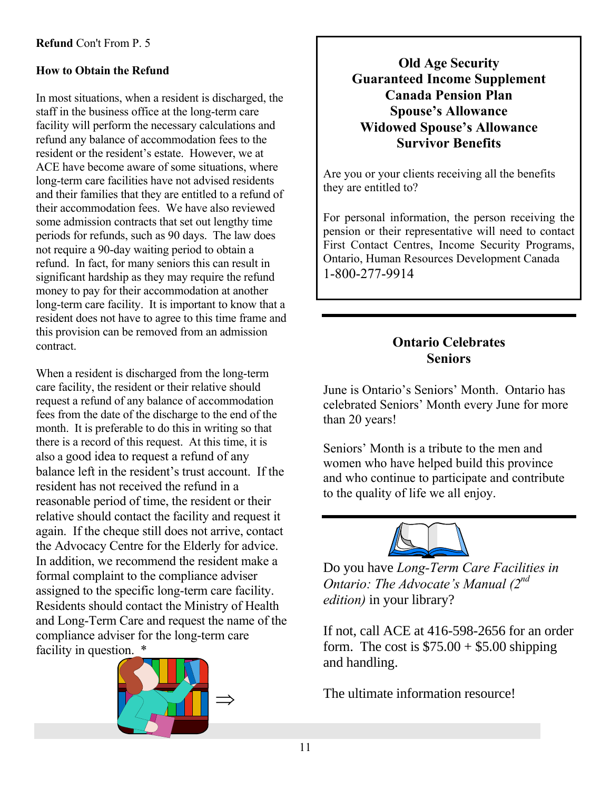In most situations, when a resident is discharged, the **Canada Pension Plan** staff in the business office at the long-term care facility will perform the necessary calculations and refund any balance of accommodation fees to the resident or the resident's estate. However, we at ACE have become aware of some situations, where long-term care facilities have not advised residents and their families that they are entitled to a refund of their accommodation fees. We have also reviewed some admission contracts that set out lengthy time periods for refunds, such as 90 days. The law does not require a 90-day waiting period to obtain a refund. In fact, for many seniors this can result in significant hardship as they may require the refund money to pay for their accommodation at another long-term care facility. It is important to know that a resident does not have to agree to this time frame and this provision can be removed from an admission contract.

When a resident is discharged from the long-term care facility, the resident or their relative should request a refund of any balance of accommodation fees from the date of the discharge to the end of the month. It is preferable to do this in writing so that there is a record of this request. At this time, it is also a good idea to request a refund of any balance left in the resident's trust account. If the resident has not received the refund in a reasonable period of time, the resident or their relative should contact the facility and request it again. If the cheque still does not arrive, contact the Advocacy Centre for the Elderly for advice. In addition, we recommend the resident make a formal complaint to the compliance adviser assigned to the specific long-term care facility. Residents should contact the Ministry of Health and Long-Term Care and request the name of the compliance adviser for the long-term care facility in question. \*



# **Old Age Security**<br> **Bow to Obtain the Refund**<br> **Guaranteed Income Supplement Spouse's Allowance Widowed Spouse's Allowance Survivor Benefits**

Are you or your clients receiving all the benefits they are entitled to?

For personal information, the person receiving the pension or their representative will need to contact First Contact Centres, Income Security Programs, Ontario, Human Resources Development Canada 1-800-277-9914

### **Ontario Celebrates Seniors**

June is Ontario's Seniors' Month. Ontario has celebrated Seniors' Month every June for more than 20 years!

Seniors' Month is a tribute to the men and women who have helped build this province and who continue to participate and contribute to the quality of life we all enjoy.



Do you have *Long-Term Care Facilities in Ontario: The Advocate's Manual (2nd edition)* in your library?

If not, call ACE at 416-598-2656 for an order form. The cost is  $$75.00 + $5.00$  shipping and handling.

The ultimate information resource!